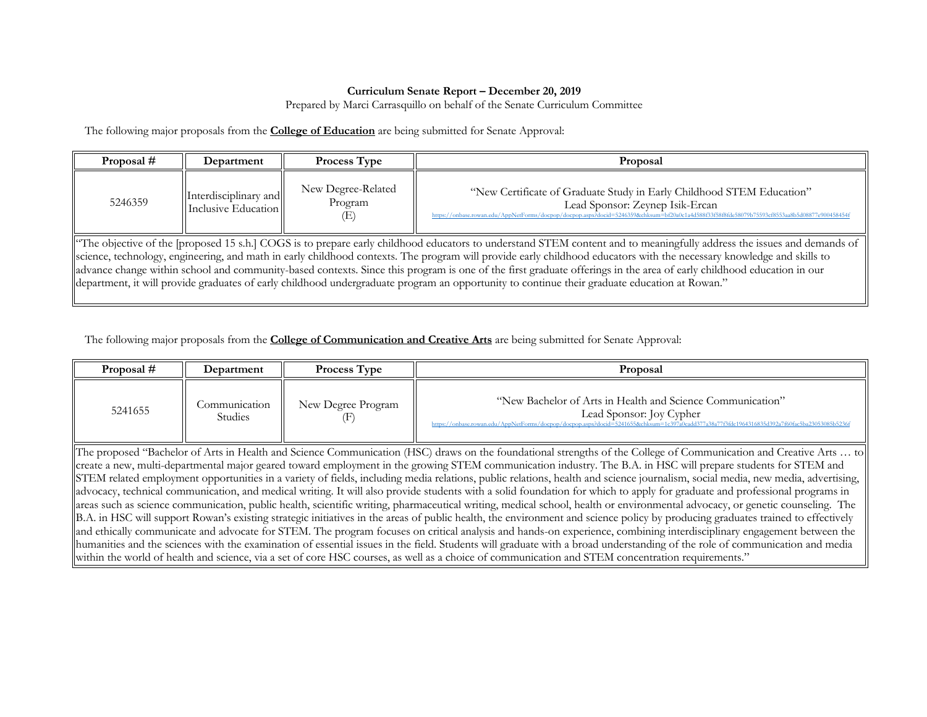## **Curriculum Senate Report – December 20, 2019**

Prepared by Marci Carrasquillo on behalf of the Senate Curriculum Committee

The following major proposals from the **College of Education** are being submitted for Senate Approval:

| Proposal #                                                                                                                                                                                                                                                                                                                                                                                                                                                                                                                                                                                                                                                               | Department                                   | <b>Process Type</b>                  | Proposal                                                                                                                                                                                                                                                  |  |
|--------------------------------------------------------------------------------------------------------------------------------------------------------------------------------------------------------------------------------------------------------------------------------------------------------------------------------------------------------------------------------------------------------------------------------------------------------------------------------------------------------------------------------------------------------------------------------------------------------------------------------------------------------------------------|----------------------------------------------|--------------------------------------|-----------------------------------------------------------------------------------------------------------------------------------------------------------------------------------------------------------------------------------------------------------|--|
| 5246359                                                                                                                                                                                                                                                                                                                                                                                                                                                                                                                                                                                                                                                                  | Interdisciplinary and<br>Inclusive Education | New Degree-Related<br>Program<br>(E) | "New Certificate of Graduate Study in Early Childhood STEM Education"<br>Lead Sponsor: Zeynep Isik-Ercan<br>https://onbase.rowan.edu/AppNetForms/docpop/docpop.aspx?docid=5246359&chksum=bf20a0c1a4d588f33f58f8fde58079b75593cf8553aa8b5d08877e900458454f |  |
| "The objective of the [proposed 15 s.h.] COGS is to prepare early childhood educators to understand STEM content and to meaningfully address the issues and demands of<br>science, technology, engineering, and math in early childhood contexts. The program will provide early childhood educators with the necessary knowledge and skills to<br>advance change within school and community-based contexts. Since this program is one of the first graduate offerings in the area of early childhood education in our<br>department, it will provide graduates of early childhood undergraduate program an opportunity to continue their graduate education at Rowan." |                                              |                                      |                                                                                                                                                                                                                                                           |  |

The following major proposals from the **College of Communication and Creative Arts** are being submitted for Senate Approval:

| Proposal #                                                                                                                                                                                                                                                                                                                                                                                                                                                                                                              | Department                                                                                                                                                                   | Process Type       | Proposal                                                                                                                                                                                                                                |  |  |
|-------------------------------------------------------------------------------------------------------------------------------------------------------------------------------------------------------------------------------------------------------------------------------------------------------------------------------------------------------------------------------------------------------------------------------------------------------------------------------------------------------------------------|------------------------------------------------------------------------------------------------------------------------------------------------------------------------------|--------------------|-----------------------------------------------------------------------------------------------------------------------------------------------------------------------------------------------------------------------------------------|--|--|
| 5241655                                                                                                                                                                                                                                                                                                                                                                                                                                                                                                                 | Communication<br>Studies                                                                                                                                                     | New Degree Program | "New Bachelor of Arts in Health and Science Communication"<br>Lead Sponsor: Joy Cypher<br>https://onbase.rowan.edu/AppNetForms/docpop/docpop.aspx?docid=5241655&chksum=1c397a0cadd377a38a77f3fdc1964316835d392a7f60fac5ba23053085b5236f |  |  |
| The proposed "Bachelor of Arts in Health and Science Communication (HSC) draws on the foundational strengths of the College of Communication and Creative Arts  to<br>create a new, multi-departmental major geared toward employment in the growing STEM communication industry. The B.A. in HSC will prepare students for STEM and<br>STEM related employment opportunities in a variety of fields, including media relations, public relations, health and science journalism, social media, new media, advertising, |                                                                                                                                                                              |                    |                                                                                                                                                                                                                                         |  |  |
| advocacy, technical communication, and medical writing. It will also provide students with a solid foundation for which to apply for graduate and professional programs in                                                                                                                                                                                                                                                                                                                                              |                                                                                                                                                                              |                    |                                                                                                                                                                                                                                         |  |  |
|                                                                                                                                                                                                                                                                                                                                                                                                                                                                                                                         | areas such as science communication, public health, scientific writing, pharmaceutical writing, medical school, health or environmental advocacy, or genetic counseling. The |                    |                                                                                                                                                                                                                                         |  |  |
| B.A. in HSC will support Rowan's existing strategic initiatives in the areas of public health, the environment and science policy by producing graduates trained to effectively                                                                                                                                                                                                                                                                                                                                         |                                                                                                                                                                              |                    |                                                                                                                                                                                                                                         |  |  |
| and ethically communicate and advocate for STEM. The program focuses on critical analysis and hands-on experience, combining interdisciplinary engagement between the                                                                                                                                                                                                                                                                                                                                                   |                                                                                                                                                                              |                    |                                                                                                                                                                                                                                         |  |  |
| humanities and the sciences with the examination of essential issues in the field. Students will graduate with a broad understanding of the role of communication and media                                                                                                                                                                                                                                                                                                                                             |                                                                                                                                                                              |                    |                                                                                                                                                                                                                                         |  |  |
|                                                                                                                                                                                                                                                                                                                                                                                                                                                                                                                         | within the world of health and science, via a set of core HSC courses, as well as a choice of communication and STEM concentration requirements."                            |                    |                                                                                                                                                                                                                                         |  |  |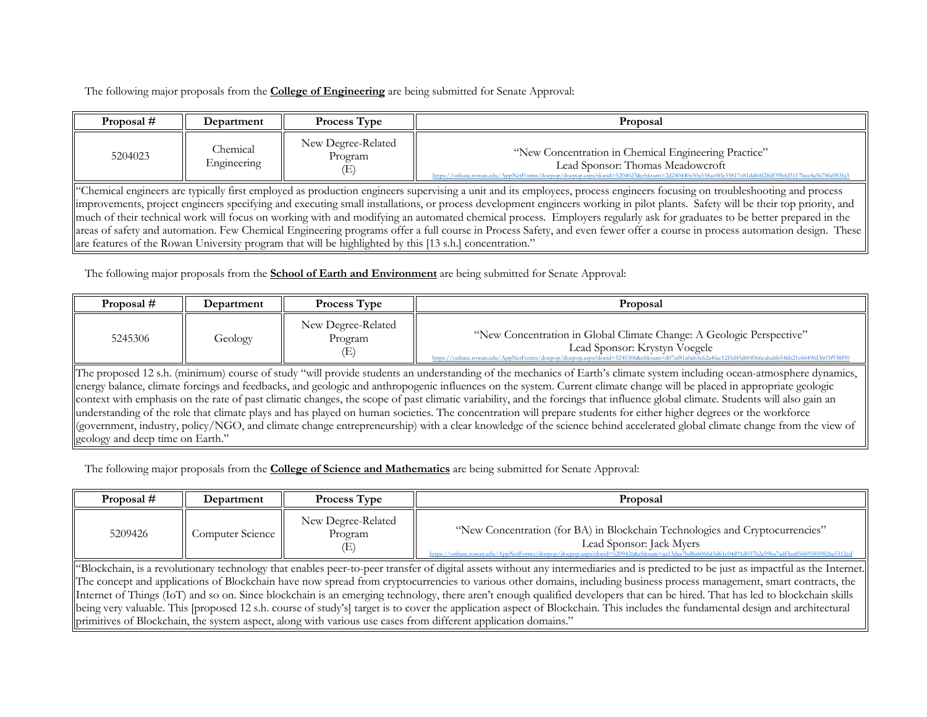The following major proposals from the **College of Engineering** are being submitted for Senate Approval:

| Proposal # | Department                                                                                                                                                               | <b>Process Type</b>           | Proposal                                                                                                                                                                                                                                  |  |  |
|------------|--------------------------------------------------------------------------------------------------------------------------------------------------------------------------|-------------------------------|-------------------------------------------------------------------------------------------------------------------------------------------------------------------------------------------------------------------------------------------|--|--|
| 5204023    | Chemical<br>Engineering                                                                                                                                                  | New Degree-Related<br>Program | "New Concentration in Chemical Engineering Practice"<br>Lead Sponsor: Thomas Meadowcroft<br>https://onbase.rowan.edu/AppNetForms/docpop/docpop.aspx?docid=5204023&chksum=2d240440c50a558ac0ffe55817c81dd64f28df39bfd3117bee4a5678fa983fa3 |  |  |
|            | "Chemical engineers are typically first employed as production engineers supervising a unit and its employees, process engineers focusing on troubleshooting and process |                               |                                                                                                                                                                                                                                           |  |  |
|            |                                                                                                                                                                          |                               | limprovements, project engineers specifying and executing small installations, or process development engineers working in pilot plants. Safety will be their top priority, and                                                           |  |  |
|            |                                                                                                                                                                          |                               | much of their technical work will focus on working with and modifying an automated chemical process. Employers regularly ask for graduates to be better prepared in the                                                                   |  |  |
|            |                                                                                                                                                                          |                               | areas of safety and automation. Few Chemical Engineering programs offer a full course in Process Safety, and even fewer offer a course in process automation design. These                                                                |  |  |
|            | are features of the Rowan University program that will be highlighted by this [13 s.h.] concentration."                                                                  |                               |                                                                                                                                                                                                                                           |  |  |

The following major proposals from the **School of Earth and Environment** are being submitted for Senate Approval:

| Proposal #                                                                                                                                                                     | Department | Process Type                         | Proposal                                                             |  |
|--------------------------------------------------------------------------------------------------------------------------------------------------------------------------------|------------|--------------------------------------|----------------------------------------------------------------------|--|
| 5245306                                                                                                                                                                        | Geology    | New Degree-Related<br>Program<br>(E) | "New Concentration in Global Climate Change: A Geologic Perspective" |  |
| The proposed 12 s.h. (minimum) course of study "will provide students an understanding of the mechanics of Earth's climate system including ocean-atmosphere dynamics,         |            |                                      |                                                                      |  |
| energy balance, climate forcings and feedbacks, and geologic and anthropogenic influences on the system. Current climate change will be placed in appropriate geologic         |            |                                      |                                                                      |  |
| context with emphasis on the rate of past climatic changes, the scope of past climatic variability, and the forcings that influence global climate. Students will also gain an |            |                                      |                                                                      |  |
| understanding of the role that climate plays and has played on human societies. The concentration will prepare students for either higher degrees or the workforce             |            |                                      |                                                                      |  |
| (government, industry, policy/NGO, and climate change entrepreneurship) with a clear knowledge of the science behind accelerated global climate change from the view of        |            |                                      |                                                                      |  |
| geology and deep time on Earth."                                                                                                                                               |            |                                      |                                                                      |  |

The following major proposals from the **College of Science and Mathematics** are being submitted for Senate Approval:

| Proposal # | Department                                                                                                                                                                                                                                                                                                                                                                                                                                                                                                                                      | <b>Process Type</b>                  | Proposal                                                                                                                                                                                                                                                                                         |  |  |
|------------|-------------------------------------------------------------------------------------------------------------------------------------------------------------------------------------------------------------------------------------------------------------------------------------------------------------------------------------------------------------------------------------------------------------------------------------------------------------------------------------------------------------------------------------------------|--------------------------------------|--------------------------------------------------------------------------------------------------------------------------------------------------------------------------------------------------------------------------------------------------------------------------------------------------|--|--|
| 5209426    | Computer Science                                                                                                                                                                                                                                                                                                                                                                                                                                                                                                                                | New Degree-Related<br>Program<br>(E) | "New Concentration (for BA) in Blockchain Technologies and Cryptocurrencies"<br>Lead Sponsor: Jack Myers<br>https://onbase.rowan.edu/AppNetForms/docpop/docpop.aspx?docid=5209426&chksum=aa13daa7bd8a6066d3d61c04d91d037b2a59ba7adf3ea856b95859826a5312e                                         |  |  |
|            | "Blockchain, is a revolutionary technology that enables peer-to-peer transfer of digital assets without any intermediaries and is predicted to be just as impactful as the Internet.<br>The concept and applications of Blockchain have now spread from cryptocurrencies to various other domains, including business process management, smart contracts, the<br>Internet of Things (IoT) and so on. Since blockchain is an emerging technology, there aren't enough qualified developers that can be hired. That has led to blockchain skills |                                      |                                                                                                                                                                                                                                                                                                  |  |  |
|            |                                                                                                                                                                                                                                                                                                                                                                                                                                                                                                                                                 |                                      | being very valuable. This [proposed 12 s.h. course of study's] target is to cover the application aspect of Blockchain. This includes the fundamental design and architectural<br>primitives of Blockchain, the system aspect, along with various use cases from different application domains." |  |  |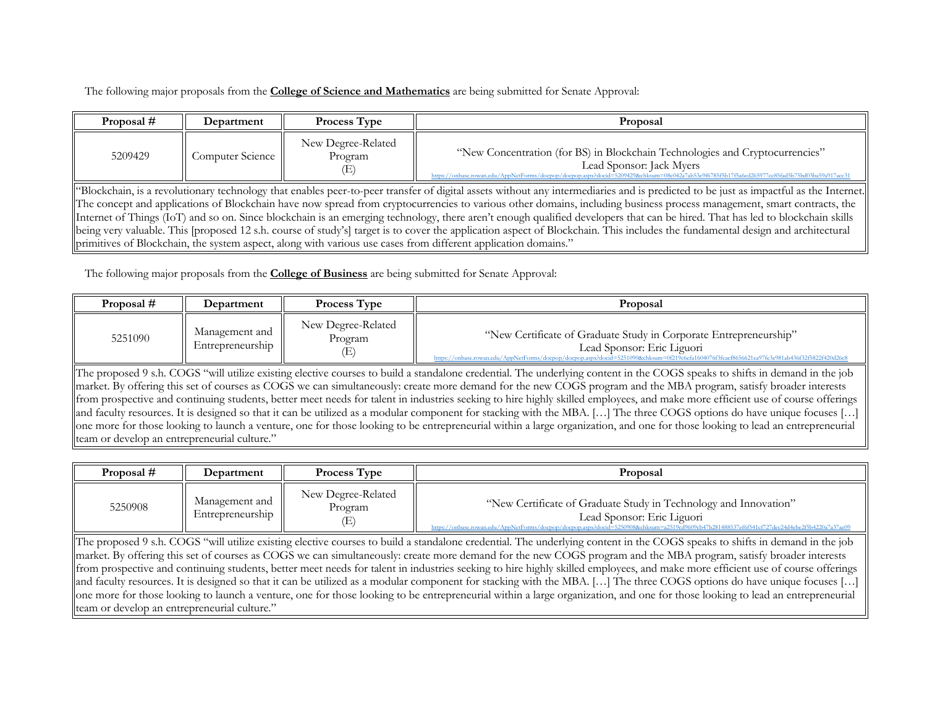The following major proposals from the **College of Science and Mathematics** are being submitted for Senate Approval:

| Proposal #                                                                                                                                                                     | Department                                                                                                                                                                           | <b>Process Type</b>                               | Proposal                                                                                                                                                                                                                                                  |  |  |
|--------------------------------------------------------------------------------------------------------------------------------------------------------------------------------|--------------------------------------------------------------------------------------------------------------------------------------------------------------------------------------|---------------------------------------------------|-----------------------------------------------------------------------------------------------------------------------------------------------------------------------------------------------------------------------------------------------------------|--|--|
| 5209429                                                                                                                                                                        | Computer Science                                                                                                                                                                     | New Degree-Related<br>Program<br>$\ket{\text{E}}$ | "New Concentration (for BS) in Blockchain Technologies and Cryptocurrencies"<br>Lead Sponsor: Jack Myers<br>https://onbase.rowan.edu/AppNetForms/docpop/docpop.aspx?docid=5209429&chksum=08c042a7ab53e9f6785f5b17f5a6ed265977ce85fad5b75bd03ba59a917acc31 |  |  |
|                                                                                                                                                                                | "Blockchain, is a revolutionary technology that enables peer-to-peer transfer of digital assets without any intermediaries and is predicted to be just as impactful as the Internet. |                                                   |                                                                                                                                                                                                                                                           |  |  |
|                                                                                                                                                                                |                                                                                                                                                                                      |                                                   | The concept and applications of Blockchain have now spread from cryptocurrencies to various other domains, including business process management, smart contracts, the                                                                                    |  |  |
| Internet of Things (IoT) and so on. Since blockchain is an emerging technology, there aren't enough qualified developers that can be hired. That has led to blockchain skills  |                                                                                                                                                                                      |                                                   |                                                                                                                                                                                                                                                           |  |  |
| Being very valuable. This [proposed 12 s.h. course of study's] target is to cover the application aspect of Blockchain. This includes the fundamental design and architectural |                                                                                                                                                                                      |                                                   |                                                                                                                                                                                                                                                           |  |  |

The following major proposals from the **College of Business** are being submitted for Senate Approval:

primitives of Blockchain, the system aspect, along with various use cases from different application domains."

| Proposal # | Department                         | <b>Process Type</b>                 | Proposal                                                                                                                                                                                                                                         |
|------------|------------------------------------|-------------------------------------|--------------------------------------------------------------------------------------------------------------------------------------------------------------------------------------------------------------------------------------------------|
| 5251090    | Management and<br>Entrepreneurship | New Degree-Related<br>Program<br>Œ) | "New Certificate of Graduate Study in Corporate Entrepreneurship"<br>Lead Sponsor: Eric Liguori<br>https://onbase.rowan.edu/AppNetForms/docpop/docpop.aspx?docid=5251090&chksum=0f219c6efa1604076f3fcacf8656621ea97fe3e981ab436f32f5822f420d26c8 |

The proposed 9 s.h. COGS "will utilize existing elective courses to build a standalone credential. The underlying content in the COGS speaks to shifts in demand in the job market. By offering this set of courses as COGS we can simultaneously: create more demand for the new COGS program and the MBA program, satisfy broader interests from prospective and continuing students, better meet needs for talent in industries seeking to hire highly skilled employees, and make more efficient use of course offerings and faculty resources. It is designed so that it can be utilized as a modular component for stacking with the MBA. […] The three COGS options do have unique focuses […] one more for those looking to launch a venture, one for those looking to be entrepreneurial within a large organization, and one for those looking to lead an entrepreneurial team or develop an entrepreneurial culture."

| Proposal # | Department                         | <b>Process Type</b>                 | Proposal                                                                                                                                                                                                                                        |
|------------|------------------------------------|-------------------------------------|-------------------------------------------------------------------------------------------------------------------------------------------------------------------------------------------------------------------------------------------------|
| 5250908    | Management and<br>Entrepreneurship | New Degree-Related<br>Program<br>E) | "New Certificate of Graduate Study in Technology and Innovation"<br>Lead Sponsor: Eric Liguori<br>https://onbase.rowan.edu/AppNetForms/docpop/docpop.aspx?docid=5250908&chksum=a2519cd9609cb47b281488537ef6f541cf727dec24d4ebe2f5b4220a7a37ae09 |

The proposed 9 s.h. COGS "will utilize existing elective courses to build a standalone credential. The underlying content in the COGS speaks to shifts in demand in the job market. By offering this set of courses as COGS we can simultaneously: create more demand for the new COGS program and the MBA program, satisfy broader interests from prospective and continuing students, better meet needs for talent in industries seeking to hire highly skilled employees, and make more efficient use of course offerings and faculty resources. It is designed so that it can be utilized as a modular component for stacking with the MBA. […] The three COGS options do have unique focuses […] one more for those looking to launch a venture, one for those looking to be entrepreneurial within a large organization, and one for those looking to lead an entrepreneurial team or develop an entrepreneurial culture."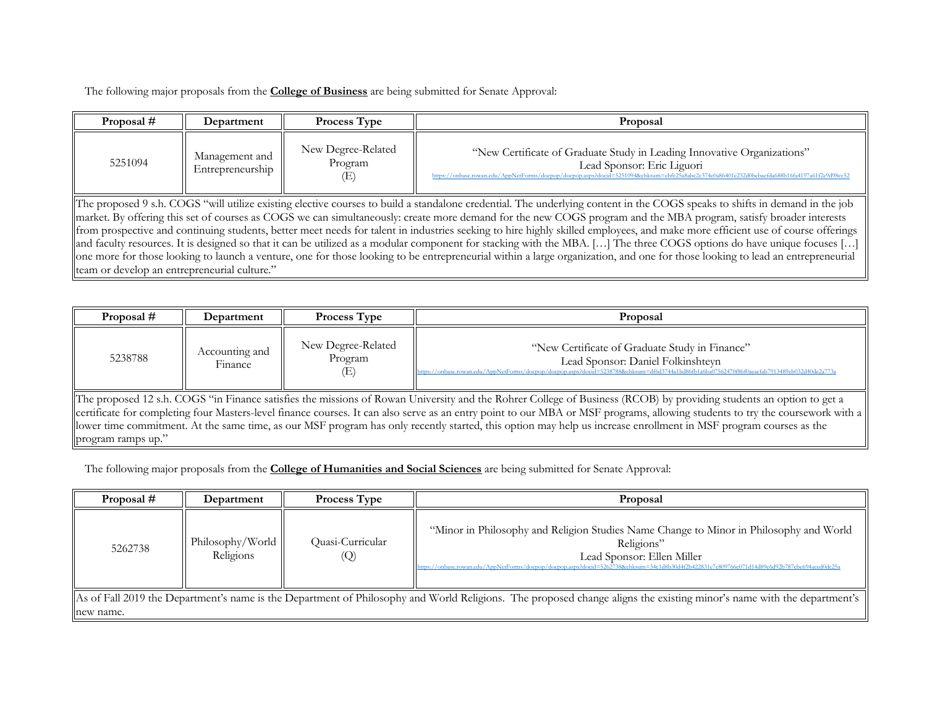The following major proposals from the **College of Business** are being submitted for Senate Approval:

| Proposal #                                                                                                                                                                    | Department                                                                                                                                                                  | Process Type                         | Proposal                                                                                                                                                                                                                                               |  |  |
|-------------------------------------------------------------------------------------------------------------------------------------------------------------------------------|-----------------------------------------------------------------------------------------------------------------------------------------------------------------------------|--------------------------------------|--------------------------------------------------------------------------------------------------------------------------------------------------------------------------------------------------------------------------------------------------------|--|--|
| 5251094                                                                                                                                                                       | Management and<br>Entrepreneurship                                                                                                                                          | New Degree-Related<br>Program<br>(E) | "New Certificate of Graduate Study in Leading Innovative Organizations"<br>Lead Sponsor: Eric Liguori<br>https://onbase.rowan.edu/AppNetForms/docpop/docpop.aspx?docid=5251094&chksum=ebfc25a8abc2c374e0a86401e232d0bebacfda688b16fa4197a61f2e9d98cc52 |  |  |
|                                                                                                                                                                               | The proposed 9 s.h. COGS "will utilize existing elective courses to build a standalone credential. The underlying content in the COGS speaks to shifts in demand in the job |                                      |                                                                                                                                                                                                                                                        |  |  |
|                                                                                                                                                                               | market. By offering this set of courses as COGS we can simultaneously: create more demand for the new COGS program and the MBA program, satisfy broader interests           |                                      |                                                                                                                                                                                                                                                        |  |  |
|                                                                                                                                                                               |                                                                                                                                                                             |                                      | from prospective and continuing students, better meet needs for talent in industries seeking to hire highly skilled employees, and make more efficient use of course offerings                                                                         |  |  |
|                                                                                                                                                                               |                                                                                                                                                                             |                                      | and faculty resources. It is designed so that it can be utilized as a modular component for stacking with the MBA. [] The three COGS options do have unique focuses []                                                                                 |  |  |
| one more for those looking to launch a venture, one for those looking to be entrepreneurial within a large organization, and one for those looking to lead an entrepreneurial |                                                                                                                                                                             |                                      |                                                                                                                                                                                                                                                        |  |  |
|                                                                                                                                                                               | team or develop an entrepreneurial culture."                                                                                                                                |                                      |                                                                                                                                                                                                                                                        |  |  |

| Proposal #                                                                                                                                                          | Department                | <b>Process Type</b>                  | Proposal                                                                                                                                                                                                                             |  |  |
|---------------------------------------------------------------------------------------------------------------------------------------------------------------------|---------------------------|--------------------------------------|--------------------------------------------------------------------------------------------------------------------------------------------------------------------------------------------------------------------------------------|--|--|
| 5238788                                                                                                                                                             | Accounting and<br>Finance | New Degree-Related<br>Program<br>(E) | "New Certificate of Graduate Study in Finance"<br>Lead Sponsor: Daniel Folkinshteyn<br>https://onbase.rowan.edu/AppNetForms/docpop/docpop.aspx?docid=5238788&chksum=df6d3744a1bd86fb1a6ba07562470f86f0aeacfab7913489eb032d40de2a773a |  |  |
| The proposed 12 s.h. COGS "in Finance satisfies the missions of Rowan University and the Rohrer College of Business (RCOB) by providing students an option to get a |                           |                                      |                                                                                                                                                                                                                                      |  |  |
|                                                                                                                                                                     |                           |                                      | certificate for completing four Masters-level finance courses. It can also serve as an entry point to our MBA or MSF programs, allowing students to try the coursework with a                                                        |  |  |
|                                                                                                                                                                     |                           |                                      | llower time commitment. At the same time, as our MSF program has only recently started, this option may help us increase enrollment in MSF program courses as the                                                                    |  |  |
| program ramps up."                                                                                                                                                  |                           |                                      |                                                                                                                                                                                                                                      |  |  |

The following major proposals from the **College of Humanities and Social Sciences** are being submitted for Senate Approval:

| Proposal # | Department                    | Process Type            | Proposal                                                                                                                                                                                                                                                                            |
|------------|-------------------------------|-------------------------|-------------------------------------------------------------------------------------------------------------------------------------------------------------------------------------------------------------------------------------------------------------------------------------|
| 5262738    | Philosophy/World<br>Religions | Quasi-Curricular<br>(Q) | "Minor in Philosophy and Religion Studies Name Change to Minor in Philosophy and World<br>Religions"<br>Lead Sponsor: Ellen Miller<br>https://onbase.rowan.edu/AppNetForms/docpop/docpop.aspx?docid=5262738&chksum=34c1d8b30d4f2b422831e7c809766c071d14d89c6d92b787cbe694aced0dc25a |
| new name.  |                               |                         | As of Fall 2019 the Department's name is the Department of Philosophy and World Religions. The proposed change aligns the existing minor's name with the department's                                                                                                               |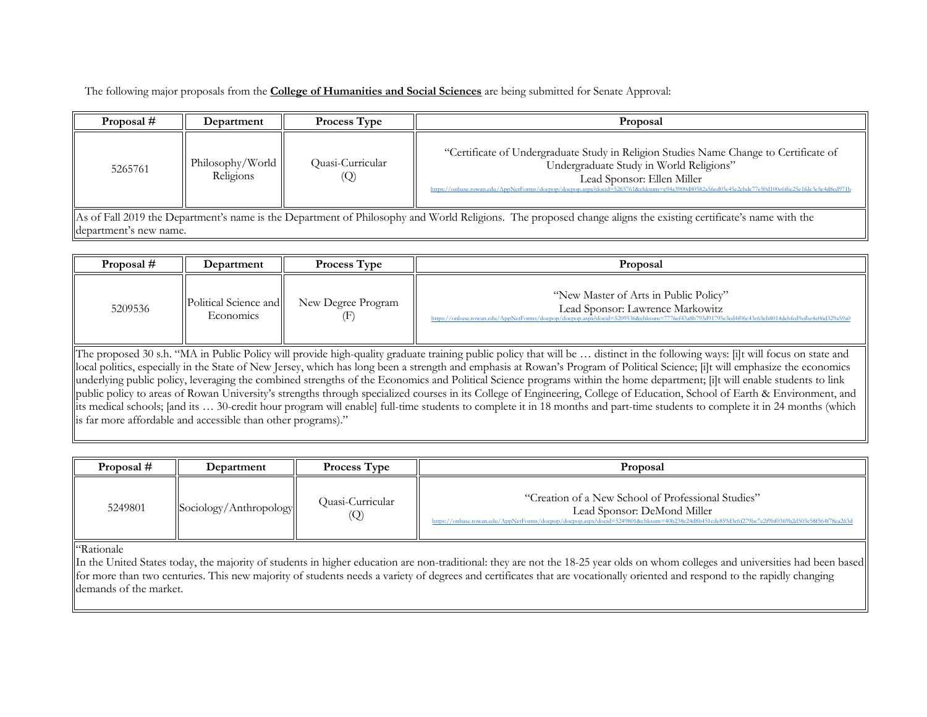The following major proposals from the **College of Humanities and Social Sciences** are being submitted for Senate Approval:

| Proposal # | Department                    | <b>Process Type</b>                   | Proposal                                                                                                                                                                                                                                                                                                        |
|------------|-------------------------------|---------------------------------------|-----------------------------------------------------------------------------------------------------------------------------------------------------------------------------------------------------------------------------------------------------------------------------------------------------------------|
| 5265761    | Philosophy/World<br>Religions | Quasi-Curricular<br>$\left( Q\right)$ | "Certificate of Undergraduate Study in Religion Studies Name Change to Certificate of<br>Undergraduate Study in World Religions"<br>Lead Sponsor: Ellen Miller<br>https://onbase.rowan.edu/AppNetForms/docpop/docpop.aspx?docid=5265761&chksum=c94a3900d80582a56ed03e45e2cbdc77e50d100e6f6c25e1fdc3e5c4d8cd971b |

As of Fall 2019 the Department's name is the Department of Philosophy and World Religions. The proposed change aligns the existing certificate's name with the department's new name.

| Proposal # | Department                         | <b>Process Type</b> | Proposal                                                                                                                                                                                                                   |
|------------|------------------------------------|---------------------|----------------------------------------------------------------------------------------------------------------------------------------------------------------------------------------------------------------------------|
| 5209536    | Political Science and<br>Economics | New Degree Program  | "New Master of Arts in Public Policy"<br>Lead Sponsor: Lawrence Markowitz<br>https://onbase.rowan.edu/AppNetForms/docpop/docpop.aspx?docid=5209536&chksum=7776ef43a8b795d91795e3cd4f06c43c65cb8014debfcd9efbe4e06d329a59a0 |

The proposed 30 s.h. "MA in Public Policy will provide high-quality graduate training public policy that will be … distinct in the following ways: [i]t will focus on state and local politics, especially in the State of New Jersey, which has long been a strength and emphasis at Rowan's Program of Political Science; [i]t will emphasize the economics underlying public policy, leveraging the combined strengths of the Economics and Political Science programs within the home department; [i]t will enable students to link public policy to areas of Rowan University's strengths through specialized courses in its College of Engineering, College of Education, School of Earth & Environment, and its medical schools; [and its … 30-credit hour program will enable] full-time students to complete it in 18 months and part-time students to complete it in 24 months (which is far more affordable and accessible than other programs)."

| Proposal # | Department             | <b>Process Type</b>                   | Proposal                                                                                                                                                                                                                           |
|------------|------------------------|---------------------------------------|------------------------------------------------------------------------------------------------------------------------------------------------------------------------------------------------------------------------------------|
| 5249801    | Sociology/Anthropology | Ouasi-Curricular<br>$\left( Q\right)$ | "Creation of a New School of Professional Studies"<br>Lead Sponsor: DeMond Miller<br>https://onbase.rowan.edu/AppNetForms/docpop/docpop.aspx?docid=5249801&chksum=40b238c24d8b451cde859d3c6f279bc7e2f9bf0369b2d503e58f564f78ea263d |

"Rationale

In the United States today, the majority of students in higher education are non-traditional: they are not the 18-25 year olds on whom colleges and universities had been based for more than two centuries. This new majority of students needs a variety of degrees and certificates that are vocationally oriented and respond to the rapidly changing demands of the market.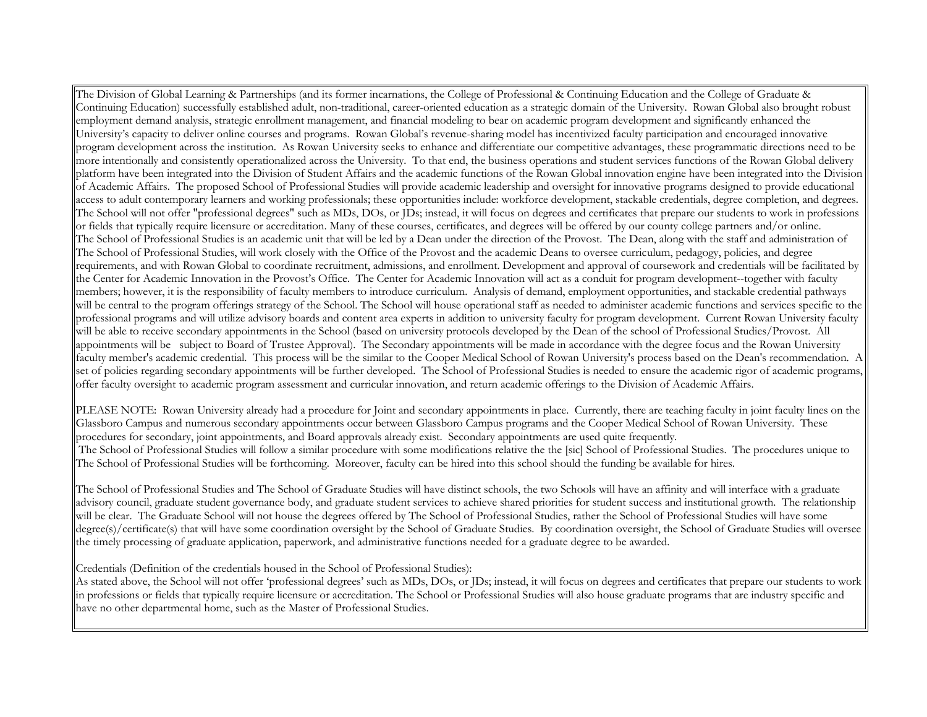The Division of Global Learning & Partnerships (and its former incarnations, the College of Professional & Continuing Education and the College of Graduate & Continuing Education) successfully established adult, non-traditional, career-oriented education as a strategic domain of the University. Rowan Global also brought robust employment demand analysis, strategic enrollment management, and financial modeling to bear on academic program development and significantly enhanced the University's capacity to deliver online courses and programs. Rowan Global's revenue-sharing model has incentivized faculty participation and encouraged innovative program development across the institution. As Rowan University seeks to enhance and differentiate our competitive advantages, these programmatic directions need to be more intentionally and consistently operationalized across the University. To that end, the business operations and student services functions of the Rowan Global delivery platform have been integrated into the Division of Student Affairs and the academic functions of the Rowan Global innovation engine have been integrated into the Division of Academic Affairs. The proposed School of Professional Studies will provide academic leadership and oversight for innovative programs designed to provide educational access to adult contemporary learners and working professionals; these opportunities include: workforce development, stackable credentials, degree completion, and degrees. The School will not offer "professional degrees" such as MDs, DOs, or JDs; instead, it will focus on degrees and certificates that prepare our students to work in professions or fields that typically require licensure or accreditation. Many of these courses, certificates, and degrees will be offered by our county college partners and/or online. The School of Professional Studies is an academic unit that will be led by a Dean under the direction of the Provost. The Dean, along with the staff and administration of The School of Professional Studies, will work closely with the Office of the Provost and the academic Deans to oversee curriculum, pedagogy, policies, and degree requirements, and with Rowan Global to coordinate recruitment, admissions, and enrollment. Development and approval of coursework and credentials will be facilitated by the Center for Academic Innovation in the Provost's Office. The Center for Academic Innovation will act as a conduit for program development--together with faculty members; however, it is the responsibility of faculty members to introduce curriculum. Analysis of demand, employment opportunities, and stackable credential pathways will be central to the program offerings strategy of the School. The School will house operational staff as needed to administer academic functions and services specific to the professional programs and will utilize advisory boards and content area experts in addition to university faculty for program development. Current Rowan University faculty will be able to receive secondary appointments in the School (based on university protocols developed by the Dean of the school of Professional Studies/Provost. All appointments will be subject to Board of Trustee Approval). The Secondary appointments will be made in accordance with the degree focus and the Rowan University faculty member's academic credential. This process will be the similar to the Cooper Medical School of Rowan University's process based on the Dean's recommendation. A set of policies regarding secondary appointments will be further developed. The School of Professional Studies is needed to ensure the academic rigor of academic programs, offer faculty oversight to academic program assessment and curricular innovation, and return academic offerings to the Division of Academic Affairs.

PLEASE NOTE: Rowan University already had a procedure for Joint and secondary appointments in place. Currently, there are teaching faculty in joint faculty lines on the Glassboro Campus and numerous secondary appointments occur between Glassboro Campus programs and the Cooper Medical School of Rowan University. These procedures for secondary, joint appointments, and Board approvals already exist. Secondary appointments are used quite frequently. The School of Professional Studies will follow a similar procedure with some modifications relative the the [sic] School of Professional Studies. The procedures unique to The School of Professional Studies will be forthcoming. Moreover, faculty can be hired into this school should the funding be available for hires.

The School of Professional Studies and The School of Graduate Studies will have distinct schools, the two Schools will have an affinity and will interface with a graduate advisory council, graduate student governance body, and graduate student services to achieve shared priorities for student success and institutional growth. The relationship will be clear. The Graduate School will not house the degrees offered by The School of Professional Studies, rather the School of Professional Studies will have some degree(s)/certificate(s) that will have some coordination oversight by the School of Graduate Studies. By coordination oversight, the School of Graduate Studies will oversee the timely processing of graduate application, paperwork, and administrative functions needed for a graduate degree to be awarded.

Credentials (Definition of the credentials housed in the School of Professional Studies):

As stated above, the School will not offer 'professional degrees' such as MDs, DOs, or JDs; instead, it will focus on degrees and certificates that prepare our students to work in professions or fields that typically require licensure or accreditation. The School or Professional Studies will also house graduate programs that are industry specific and have no other departmental home, such as the Master of Professional Studies.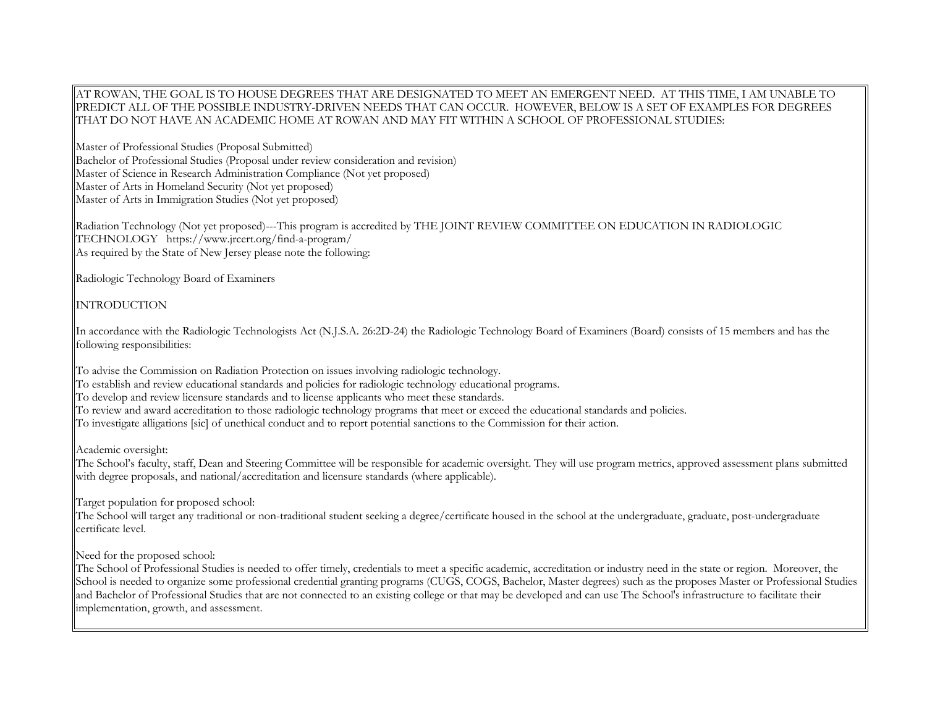## AT ROWAN, THE GOAL IS TO HOUSE DEGREES THAT ARE DESIGNATED TO MEET AN EMERGENT NEED. AT THIS TIME, I AM UNABLE TO PREDICT ALL OF THE POSSIBLE INDUSTRY-DRIVEN NEEDS THAT CAN OCCUR. HOWEVER, BELOW IS A SET OF EXAMPLES FOR DEGREES THAT DO NOT HAVE AN ACADEMIC HOME AT ROWAN AND MAY FIT WITHIN A SCHOOL OF PROFESSIONAL STUDIES:

Master of Professional Studies (Proposal Submitted) Bachelor of Professional Studies (Proposal under review consideration and revision) Master of Science in Research Administration Compliance (Not yet proposed) Master of Arts in Homeland Security (Not yet proposed) Master of Arts in Immigration Studies (Not yet proposed)

Radiation Technology (Not yet proposed)---This program is accredited by THE JOINT REVIEW COMMITTEE ON EDUCATION IN RADIOLOGIC TECHNOLOGY https://www.jrcert.org/find-a-program/ As required by the State of New Jersey please note the following:

Radiologic Technology Board of Examiners

INTRODUCTION

In accordance with the Radiologic Technologists Act (N.J.S.A. 26:2D-24) the Radiologic Technology Board of Examiners (Board) consists of 15 members and has the following responsibilities:

To advise the Commission on Radiation Protection on issues involving radiologic technology. To establish and review educational standards and policies for radiologic technology educational programs. To develop and review licensure standards and to license applicants who meet these standards. To review and award accreditation to those radiologic technology programs that meet or exceed the educational standards and policies. To investigate alligations [sic] of unethical conduct and to report potential sanctions to the Commission for their action.

Academic oversight:

The School's faculty, staff, Dean and Steering Committee will be responsible for academic oversight. They will use program metrics, approved assessment plans submitted with degree proposals, and national/accreditation and licensure standards (where applicable).

Target population for proposed school:

The School will target any traditional or non-traditional student seeking a degree/certificate housed in the school at the undergraduate, graduate, post-undergraduate certificate level.

Need for the proposed school:

The School of Professional Studies is needed to offer timely, credentials to meet a specific academic, accreditation or industry need in the state or region. Moreover, the School is needed to organize some professional credential granting programs (CUGS, COGS, Bachelor, Master degrees) such as the proposes Master or Professional Studies and Bachelor of Professional Studies that are not connected to an existing college or that may be developed and can use The School's infrastructure to facilitate their implementation, growth, and assessment.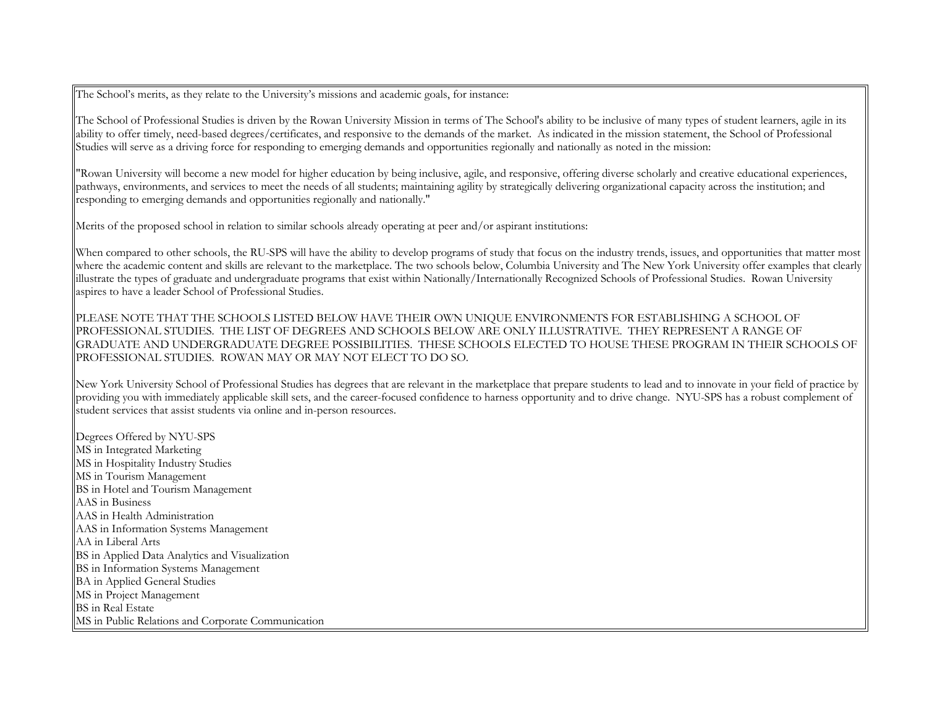The School's merits, as they relate to the University's missions and academic goals, for instance:

The School of Professional Studies is driven by the Rowan University Mission in terms of The School's ability to be inclusive of many types of student learners, agile in its ability to offer timely, need-based degrees/certificates, and responsive to the demands of the market. As indicated in the mission statement, the School of Professional Studies will serve as a driving force for responding to emerging demands and opportunities regionally and nationally as noted in the mission:

"Rowan University will become a new model for higher education by being inclusive, agile, and responsive, offering diverse scholarly and creative educational experiences, pathways, environments, and services to meet the needs of all students; maintaining agility by strategically delivering organizational capacity across the institution; and responding to emerging demands and opportunities regionally and nationally."

Merits of the proposed school in relation to similar schools already operating at peer and/or aspirant institutions:

When compared to other schools, the RU-SPS will have the ability to develop programs of study that focus on the industry trends, issues, and opportunities that matter most where the academic content and skills are relevant to the marketplace. The two schools below, Columbia University and The New York University offer examples that clearly illustrate the types of graduate and undergraduate programs that exist within Nationally/Internationally Recognized Schools of Professional Studies. Rowan University aspires to have a leader School of Professional Studies.

PLEASE NOTE THAT THE SCHOOLS LISTED BELOW HAVE THEIR OWN UNIQUE ENVIRONMENTS FOR ESTABLISHING A SCHOOL OF PROFESSIONAL STUDIES. THE LIST OF DEGREES AND SCHOOLS BELOW ARE ONLY ILLUSTRATIVE. THEY REPRESENT A RANGE OF GRADUATE AND UNDERGRADUATE DEGREE POSSIBILITIES. THESE SCHOOLS ELECTED TO HOUSE THESE PROGRAM IN THEIR SCHOOLS OF PROFESSIONAL STUDIES. ROWAN MAY OR MAY NOT ELECT TO DO SO.

New York University School of Professional Studies has degrees that are relevant in the marketplace that prepare students to lead and to innovate in your field of practice by providing you with immediately applicable skill sets, and the career-focused confidence to harness opportunity and to drive change. NYU-SPS has a robust complement of student services that assist students via online and in-person resources.

Degrees Offered by NYU-SPS MS in Integrated Marketing MS in Hospitality Industry Studies MS in Tourism Management BS in Hotel and Tourism Management AAS in Business AAS in Health Administration AAS in Information Systems Management AA in Liberal Arts BS in Applied Data Analytics and Visualization BS in Information Systems Management BA in Applied General Studies MS in Project Management BS in Real Estate MS in Public Relations and Corporate Communication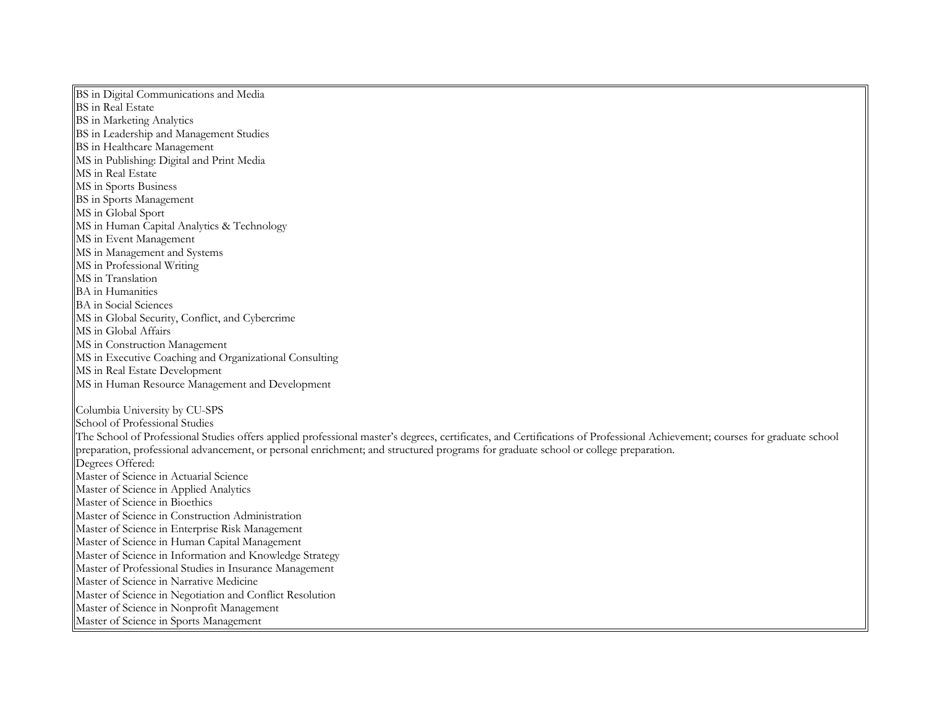BS in Digital Communications and Media BS in Real Estate BS in Marketing Analytics BS in Leadership and Management Studies BS in Healthcare Management MS in Publishing: Digital and Print Media MS in Real Estate MS in Sports Business BS in Sports Management MS in Global Sport MS in Human Capital Analytics & Technology MS in Event Management MS in Management and Systems MS in Professional Writing MS in Translation BA in Humanities BA in Social Sciences MS in Global Security, Conflict, and Cybercrime MS in Global Affairs MS in Construction Management MS in Executive Coaching and Organizational Consulting MS in Real Estate Development MS in Human Resource Management and Development Columbia University by CU-SPS School of Professional Studies The School of Professional Studies offers applied professional master's degrees, certificates, and Certifications of Professional Achievement; courses for graduate school preparation, professional advancement, or personal enrichment; and structured programs for graduate school or college preparation. Degrees Offered: Master of Science in Actuarial Science Master of Science in Applied Analytics Master of Science in Bioethics Master of Science in Construction Administration Master of Science in Enterprise Risk Management Master of Science in Human Capital Management Master of Science in Information and Knowledge Strategy Master of Professional Studies in Insurance Management Master of Science in Narrative Medicine Master of Science in Negotiation and Conflict Resolution Master of Science in Nonprofit Management Master of Science in Sports Management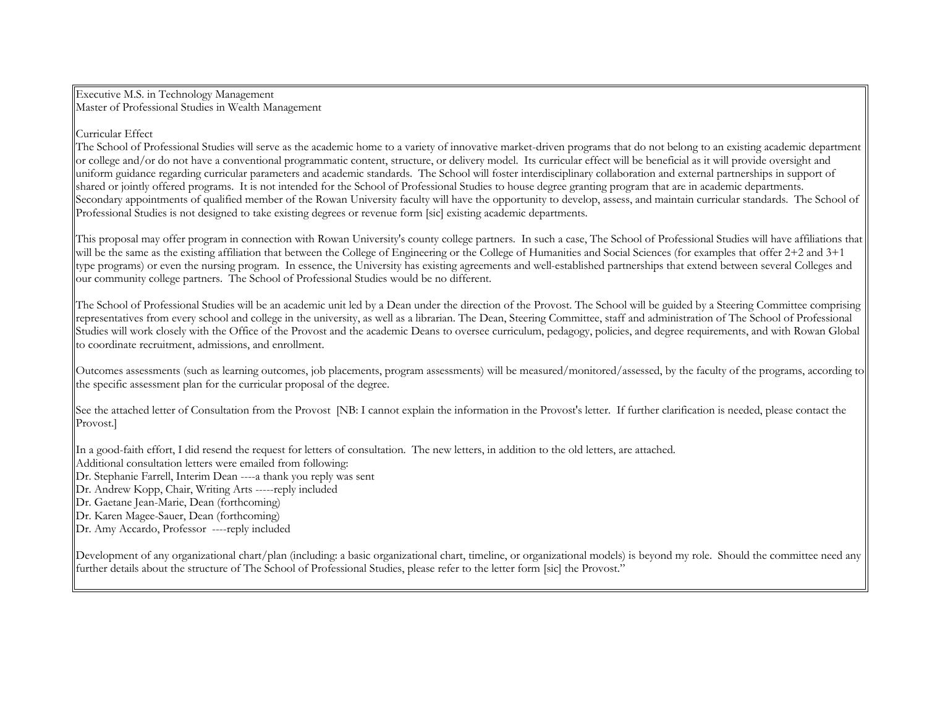Executive M.S. in Technology Management Master of Professional Studies in Wealth Management

## Curricular Effect

The School of Professional Studies will serve as the academic home to a variety of innovative market-driven programs that do not belong to an existing academic department or college and/or do not have a conventional programmatic content, structure, or delivery model. Its curricular effect will be beneficial as it will provide oversight and uniform guidance regarding curricular parameters and academic standards. The School will foster interdisciplinary collaboration and external partnerships in support of shared or jointly offered programs. It is not intended for the School of Professional Studies to house degree granting program that are in academic departments. Secondary appointments of qualified member of the Rowan University faculty will have the opportunity to develop, assess, and maintain curricular standards. The School of Professional Studies is not designed to take existing degrees or revenue form [sic] existing academic departments.

This proposal may offer program in connection with Rowan University's county college partners. In such a case, The School of Professional Studies will have affiliations that will be the same as the existing affiliation that between the College of Engineering or the College of Humanities and Social Sciences (for examples that offer 2+2 and 3+1 type programs) or even the nursing program. In essence, the University has existing agreements and well-established partnerships that extend between several Colleges and our community college partners. The School of Professional Studies would be no different.

The School of Professional Studies will be an academic unit led by a Dean under the direction of the Provost. The School will be guided by a Steering Committee comprising representatives from every school and college in the university, as well as a librarian. The Dean, Steering Committee, staff and administration of The School of Professional Studies will work closely with the Office of the Provost and the academic Deans to oversee curriculum, pedagogy, policies, and degree requirements, and with Rowan Global to coordinate recruitment, admissions, and enrollment.

Outcomes assessments (such as learning outcomes, job placements, program assessments) will be measured/monitored/assessed, by the faculty of the programs, according to the specific assessment plan for the curricular proposal of the degree.

See the attached letter of Consultation from the Provost [NB: I cannot explain the information in the Provost's letter. If further clarification is needed, please contact the Provost.]

In a good-faith effort, I did resend the request for letters of consultation. The new letters, in addition to the old letters, are attached.

Additional consultation letters were emailed from following:

- Dr. Stephanie Farrell, Interim Dean ----a thank you reply was sent
- Dr. Andrew Kopp, Chair, Writing Arts -----reply included
- Dr. Gaetane Jean-Marie, Dean (forthcoming)
- Dr. Karen Magee-Sauer, Dean (forthcoming)
- Dr. Amy Accardo, Professor ----reply included

Development of any organizational chart/plan (including: a basic organizational chart, timeline, or organizational models) is beyond my role. Should the committee need any further details about the structure of The School of Professional Studies, please refer to the letter form [sic] the Provost."